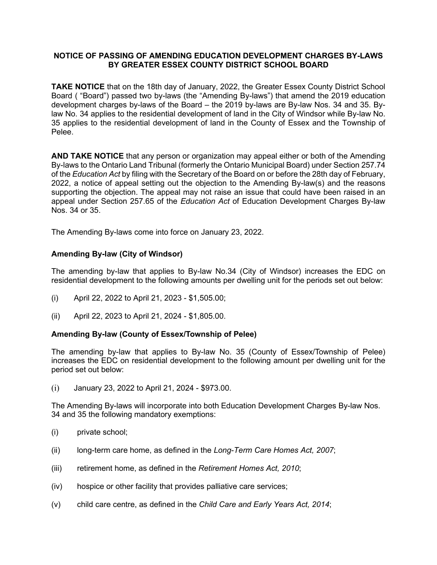## **NOTICE OF PASSING OF AMENDING EDUCATION DEVELOPMENT CHARGES BY-LAWS BY GREATER ESSEX COUNTY DISTRICT SCHOOL BOARD**

**TAKE NOTICE** that on the 18th day of January, 2022, the Greater Essex County District School Board ( "Board") passed two by-laws (the "Amending By-laws") that amend the 2019 education development charges by-laws of the Board – the 2019 by-laws are By-law Nos. 34 and 35. Bylaw No. 34 applies to the residential development of land in the City of Windsor while By-law No. 35 applies to the residential development of land in the County of Essex and the Township of Pelee.

**AND TAKE NOTICE** that any person or organization may appeal either or both of the Amending By-laws to the Ontario Land Tribunal (formerly the Ontario Municipal Board) under Section 257.74 of the *Education Act* by filing with the Secretary of the Board on or before the 28th day of February, 2022, a notice of appeal setting out the objection to the Amending By-law(s) and the reasons supporting the objection. The appeal may not raise an issue that could have been raised in an appeal under Section 257.65 of the *Education Act* of Education Development Charges By-law Nos. 34 or 35.

The Amending By-laws come into force on January 23, 2022.

## **Amending By-law (City of Windsor)**

The amending by-law that applies to By-law No.34 (City of Windsor) increases the EDC on residential development to the following amounts per dwelling unit for the periods set out below:

- (i) April 22, 2022 to April 21, 2023 \$1,505.00;
- (ii) April 22, 2023 to April 21, 2024 \$1,805.00.

## **Amending By-law (County of Essex/Township of Pelee)**

The amending by-law that applies to By-law No. 35 (County of Essex/Township of Pelee) increases the EDC on residential development to the following amount per dwelling unit for the period set out below:

(i) January 23, 2022 to April 21, 2024 - \$973.00.

The Amending By-laws will incorporate into both Education Development Charges By-law Nos. 34 and 35 the following mandatory exemptions:

- (i) private school;
- (ii) long-term care home, as defined in the *Long-Term Care Homes Act, 2007*;
- (iii) retirement home, as defined in the *Retirement Homes Act, 2010*;
- (iv) hospice or other facility that provides palliative care services;
- (v) child care centre, as defined in the *Child Care and Early Years Act, 2014*;